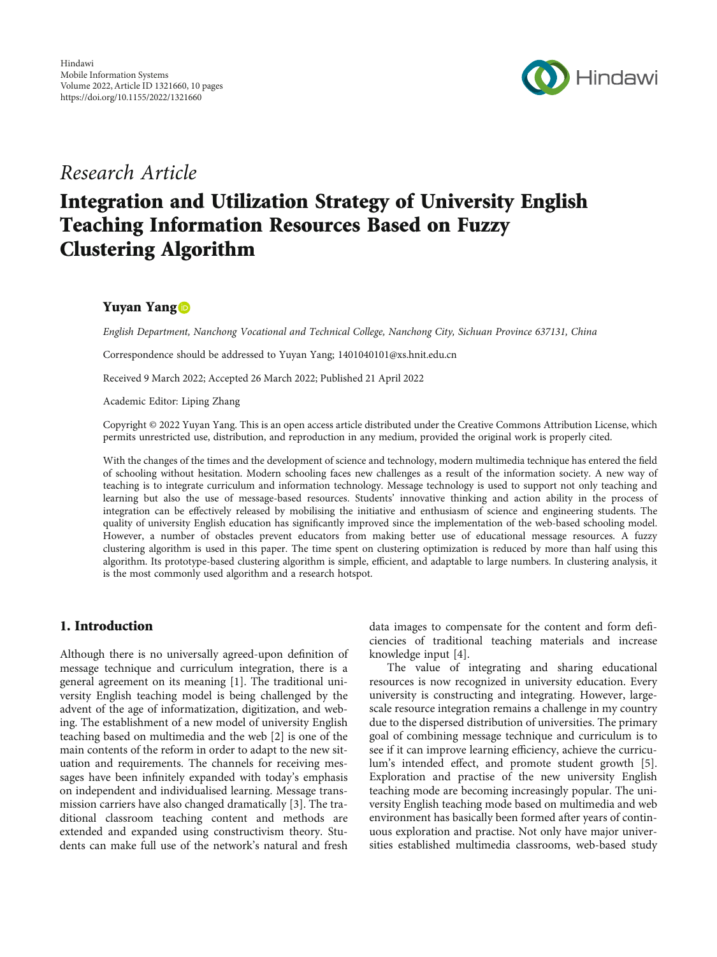

## Research Article

# Integration and Utilization Strategy of University English Teaching Information Resources Based on Fuzzy Clustering Algorithm

## Yuyan Yang

English Department, Nanchong Vocational and Technical College, Nanchong City, Sichuan Province 637131, China

Correspondence should be addressed to Yuyan Yang; 1401040101@xs.hnit.edu.cn

Received 9 March 2022; Accepted 26 March 2022; Published 21 April 2022

Academic Editor: Liping Zhang

Copyright © 2022 Yuyan Yang. This is an open access article distributed under the [Creative Commons Attribution License](https://creativecommons.org/licenses/by/4.0/), which permits unrestricted use, distribution, and reproduction in any medium, provided the original work is properly cited.

With the changes of the times and the development of science and technology, modern multimedia technique has entered the field of schooling without hesitation. Modern schooling faces new challenges as a result of the information society. A new way of teaching is to integrate curriculum and information technology. Message technology is used to support not only teaching and learning but also the use of message-based resources. Students' innovative thinking and action ability in the process of integration can be effectively released by mobilising the initiative and enthusiasm of science and engineering students. The quality of university English education has significantly improved since the implementation of the web-based schooling model. However, a number of obstacles prevent educators from making better use of educational message resources. A fuzzy clustering algorithm is used in this paper. The time spent on clustering optimization is reduced by more than half using this algorithm. Its prototype-based clustering algorithm is simple, efficient, and adaptable to large numbers. In clustering analysis, it is the most commonly used algorithm and a research hotspot.

### 1. Introduction

Although there is no universally agreed-upon definition of message technique and curriculum integration, there is a general agreement on its meaning [[1\]](#page-9-0). The traditional university English teaching model is being challenged by the advent of the age of informatization, digitization, and webing. The establishment of a new model of university English teaching based on multimedia and the web [[2\]](#page-9-0) is one of the main contents of the reform in order to adapt to the new situation and requirements. The channels for receiving messages have been infinitely expanded with today's emphasis on independent and individualised learning. Message transmission carriers have also changed dramatically [[3](#page-9-0)]. The traditional classroom teaching content and methods are extended and expanded using constructivism theory. Students can make full use of the network's natural and fresh data images to compensate for the content and form deficiencies of traditional teaching materials and increase knowledge input [[4](#page-9-0)].

The value of integrating and sharing educational resources is now recognized in university education. Every university is constructing and integrating. However, largescale resource integration remains a challenge in my country due to the dispersed distribution of universities. The primary goal of combining message technique and curriculum is to see if it can improve learning efficiency, achieve the curriculum's intended effect, and promote student growth [[5](#page-9-0)]. Exploration and practise of the new university English teaching mode are becoming increasingly popular. The university English teaching mode based on multimedia and web environment has basically been formed after years of continuous exploration and practise. Not only have major universities established multimedia classrooms, web-based study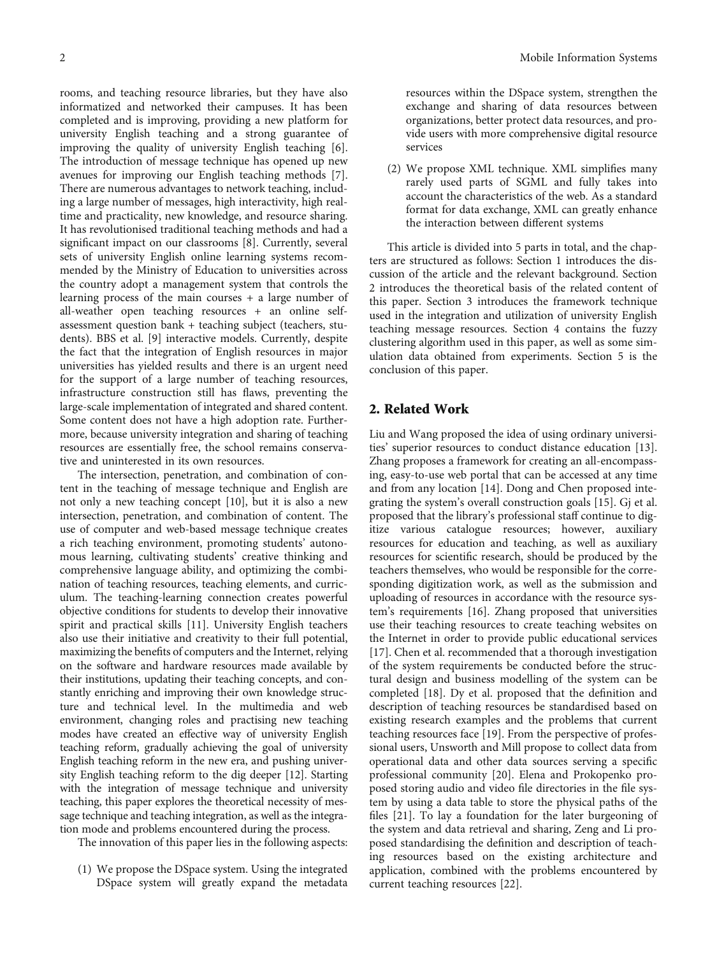rooms, and teaching resource libraries, but they have also informatized and networked their campuses. It has been completed and is improving, providing a new platform for university English teaching and a strong guarantee of improving the quality of university English teaching [[6](#page-9-0)]. The introduction of message technique has opened up new avenues for improving our English teaching methods [[7](#page-9-0)]. There are numerous advantages to network teaching, including a large number of messages, high interactivity, high realtime and practicality, new knowledge, and resource sharing. It has revolutionised traditional teaching methods and had a significant impact on our classrooms [\[8\]](#page-9-0). Currently, several sets of university English online learning systems recommended by the Ministry of Education to universities across the country adopt a management system that controls the learning process of the main courses + a large number of all-weather open teaching resources + an online selfassessment question bank + teaching subject (teachers, students). BBS et al. [\[9\]](#page-9-0) interactive models. Currently, despite the fact that the integration of English resources in major universities has yielded results and there is an urgent need for the support of a large number of teaching resources, infrastructure construction still has flaws, preventing the large-scale implementation of integrated and shared content. Some content does not have a high adoption rate. Furthermore, because university integration and sharing of teaching resources are essentially free, the school remains conservative and uninterested in its own resources.

The intersection, penetration, and combination of content in the teaching of message technique and English are not only a new teaching concept [\[10\]](#page-9-0), but it is also a new intersection, penetration, and combination of content. The use of computer and web-based message technique creates a rich teaching environment, promoting students' autonomous learning, cultivating students' creative thinking and comprehensive language ability, and optimizing the combination of teaching resources, teaching elements, and curriculum. The teaching-learning connection creates powerful objective conditions for students to develop their innovative spirit and practical skills [[11](#page-9-0)]. University English teachers also use their initiative and creativity to their full potential, maximizing the benefits of computers and the Internet, relying on the software and hardware resources made available by their institutions, updating their teaching concepts, and constantly enriching and improving their own knowledge structure and technical level. In the multimedia and web environment, changing roles and practising new teaching modes have created an effective way of university English teaching reform, gradually achieving the goal of university English teaching reform in the new era, and pushing university English teaching reform to the dig deeper [[12](#page-9-0)]. Starting with the integration of message technique and university teaching, this paper explores the theoretical necessity of message technique and teaching integration, as well as the integration mode and problems encountered during the process.

The innovation of this paper lies in the following aspects:

(1) We propose the DSpace system. Using the integrated DSpace system will greatly expand the metadata resources within the DSpace system, strengthen the exchange and sharing of data resources between organizations, better protect data resources, and provide users with more comprehensive digital resource services

(2) We propose XML technique. XML simplifies many rarely used parts of SGML and fully takes into account the characteristics of the web. As a standard format for data exchange, XML can greatly enhance the interaction between different systems

This article is divided into 5 parts in total, and the chapters are structured as follows: Section [1](#page--1-0) introduces the discussion of the article and the relevant background. Section 2 introduces the theoretical basis of the related content of this paper. Section [3](#page-2-0) introduces the framework technique used in the integration and utilization of university English teaching message resources. Section [4](#page-3-0) contains the fuzzy clustering algorithm used in this paper, as well as some simulation data obtained from experiments. Section [5](#page-8-0) is the conclusion of this paper.

## 2. Related Work

Liu and Wang proposed the idea of using ordinary universities' superior resources to conduct distance education [[13](#page-9-0)]. Zhang proposes a framework for creating an all-encompassing, easy-to-use web portal that can be accessed at any time and from any location [\[14\]](#page-9-0). Dong and Chen proposed integrating the system's overall construction goals [\[15](#page-9-0)]. Gj et al. proposed that the library's professional staff continue to digitize various catalogue resources; however, auxiliary resources for education and teaching, as well as auxiliary resources for scientific research, should be produced by the teachers themselves, who would be responsible for the corresponding digitization work, as well as the submission and uploading of resources in accordance with the resource system's requirements [[16](#page-9-0)]. Zhang proposed that universities use their teaching resources to create teaching websites on the Internet in order to provide public educational services [\[17\]](#page-9-0). Chen et al. recommended that a thorough investigation of the system requirements be conducted before the structural design and business modelling of the system can be completed [[18](#page-9-0)]. Dy et al. proposed that the definition and description of teaching resources be standardised based on existing research examples and the problems that current teaching resources face [[19](#page-9-0)]. From the perspective of professional users, Unsworth and Mill propose to collect data from operational data and other data sources serving a specific professional community [\[20\]](#page-9-0). Elena and Prokopenko proposed storing audio and video file directories in the file system by using a data table to store the physical paths of the files [\[21\]](#page-9-0). To lay a foundation for the later burgeoning of the system and data retrieval and sharing, Zeng and Li proposed standardising the definition and description of teaching resources based on the existing architecture and application, combined with the problems encountered by current teaching resources [[22](#page-9-0)].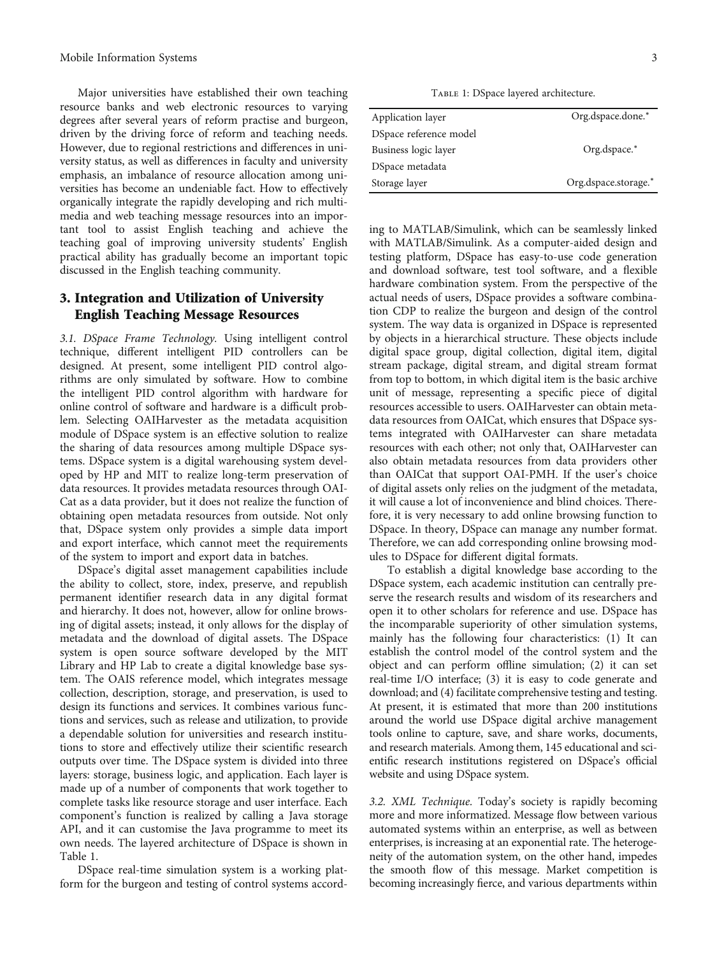<span id="page-2-0"></span>Major universities have established their own teaching resource banks and web electronic resources to varying degrees after several years of reform practise and burgeon, driven by the driving force of reform and teaching needs. However, due to regional restrictions and differences in university status, as well as differences in faculty and university emphasis, an imbalance of resource allocation among universities has become an undeniable fact. How to effectively organically integrate the rapidly developing and rich multimedia and web teaching message resources into an important tool to assist English teaching and achieve the teaching goal of improving university students' English practical ability has gradually become an important topic discussed in the English teaching community.

#### 3. Integration and Utilization of University English Teaching Message Resources

3.1. DSpace Frame Technology. Using intelligent control technique, different intelligent PID controllers can be designed. At present, some intelligent PID control algorithms are only simulated by software. How to combine the intelligent PID control algorithm with hardware for online control of software and hardware is a difficult problem. Selecting OAIHarvester as the metadata acquisition module of DSpace system is an effective solution to realize the sharing of data resources among multiple DSpace systems. DSpace system is a digital warehousing system developed by HP and MIT to realize long-term preservation of data resources. It provides metadata resources through OAI-Cat as a data provider, but it does not realize the function of obtaining open metadata resources from outside. Not only that, DSpace system only provides a simple data import and export interface, which cannot meet the requirements of the system to import and export data in batches.

DSpace's digital asset management capabilities include the ability to collect, store, index, preserve, and republish permanent identifier research data in any digital format and hierarchy. It does not, however, allow for online browsing of digital assets; instead, it only allows for the display of metadata and the download of digital assets. The DSpace system is open source software developed by the MIT Library and HP Lab to create a digital knowledge base system. The OAIS reference model, which integrates message collection, description, storage, and preservation, is used to design its functions and services. It combines various functions and services, such as release and utilization, to provide a dependable solution for universities and research institutions to store and effectively utilize their scientific research outputs over time. The DSpace system is divided into three layers: storage, business logic, and application. Each layer is made up of a number of components that work together to complete tasks like resource storage and user interface. Each component's function is realized by calling a Java storage API, and it can customise the Java programme to meet its own needs. The layered architecture of DSpace is shown in Table 1.

DSpace real-time simulation system is a working platform for the burgeon and testing of control systems accord-

TABLE 1: DSpace layered architecture.

| Application layer      | Org.dspace.done.*    |
|------------------------|----------------------|
| DSpace reference model |                      |
| Business logic layer   | Org.dspace.*         |
| DSpace metadata        |                      |
| Storage layer          | Org.dspace.storage.* |

ing to MATLAB/Simulink, which can be seamlessly linked with MATLAB/Simulink. As a computer-aided design and testing platform, DSpace has easy-to-use code generation and download software, test tool software, and a flexible hardware combination system. From the perspective of the actual needs of users, DSpace provides a software combination CDP to realize the burgeon and design of the control system. The way data is organized in DSpace is represented by objects in a hierarchical structure. These objects include digital space group, digital collection, digital item, digital stream package, digital stream, and digital stream format from top to bottom, in which digital item is the basic archive unit of message, representing a specific piece of digital resources accessible to users. OAIHarvester can obtain metadata resources from OAICat, which ensures that DSpace systems integrated with OAIHarvester can share metadata resources with each other; not only that, OAIHarvester can also obtain metadata resources from data providers other than OAICat that support OAI-PMH. If the user's choice of digital assets only relies on the judgment of the metadata, it will cause a lot of inconvenience and blind choices. Therefore, it is very necessary to add online browsing function to DSpace. In theory, DSpace can manage any number format. Therefore, we can add corresponding online browsing modules to DSpace for different digital formats.

To establish a digital knowledge base according to the DSpace system, each academic institution can centrally preserve the research results and wisdom of its researchers and open it to other scholars for reference and use. DSpace has the incomparable superiority of other simulation systems, mainly has the following four characteristics: (1) It can establish the control model of the control system and the object and can perform offline simulation; (2) it can set real-time I/O interface; (3) it is easy to code generate and download; and (4) facilitate comprehensive testing and testing. At present, it is estimated that more than 200 institutions around the world use DSpace digital archive management tools online to capture, save, and share works, documents, and research materials. Among them, 145 educational and scientific research institutions registered on DSpace's official website and using DSpace system.

3.2. XML Technique. Today's society is rapidly becoming more and more informatized. Message flow between various automated systems within an enterprise, as well as between enterprises, is increasing at an exponential rate. The heterogeneity of the automation system, on the other hand, impedes the smooth flow of this message. Market competition is becoming increasingly fierce, and various departments within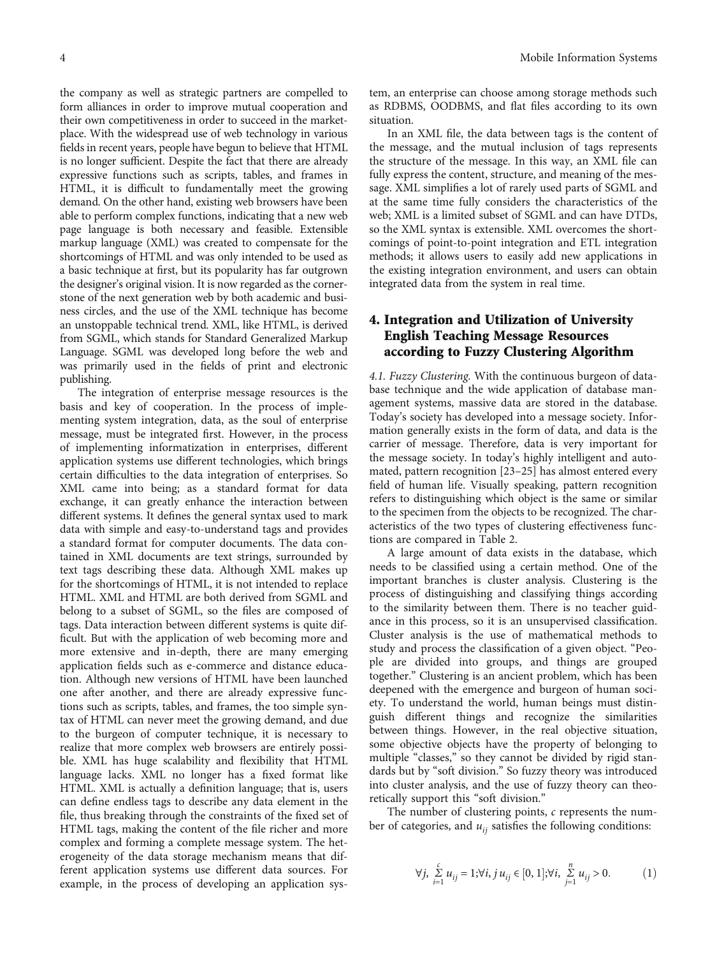<span id="page-3-0"></span>the company as well as strategic partners are compelled to form alliances in order to improve mutual cooperation and their own competitiveness in order to succeed in the marketplace. With the widespread use of web technology in various fields in recent years, people have begun to believe that HTML is no longer sufficient. Despite the fact that there are already expressive functions such as scripts, tables, and frames in HTML, it is difficult to fundamentally meet the growing demand. On the other hand, existing web browsers have been able to perform complex functions, indicating that a new web page language is both necessary and feasible. Extensible markup language (XML) was created to compensate for the shortcomings of HTML and was only intended to be used as a basic technique at first, but its popularity has far outgrown the designer's original vision. It is now regarded as the cornerstone of the next generation web by both academic and business circles, and the use of the XML technique has become an unstoppable technical trend. XML, like HTML, is derived from SGML, which stands for Standard Generalized Markup Language. SGML was developed long before the web and was primarily used in the fields of print and electronic publishing.

The integration of enterprise message resources is the basis and key of cooperation. In the process of implementing system integration, data, as the soul of enterprise message, must be integrated first. However, in the process of implementing informatization in enterprises, different application systems use different technologies, which brings certain difficulties to the data integration of enterprises. So XML came into being; as a standard format for data exchange, it can greatly enhance the interaction between different systems. It defines the general syntax used to mark data with simple and easy-to-understand tags and provides a standard format for computer documents. The data contained in XML documents are text strings, surrounded by text tags describing these data. Although XML makes up for the shortcomings of HTML, it is not intended to replace HTML. XML and HTML are both derived from SGML and belong to a subset of SGML, so the files are composed of tags. Data interaction between different systems is quite difficult. But with the application of web becoming more and more extensive and in-depth, there are many emerging application fields such as e-commerce and distance education. Although new versions of HTML have been launched one after another, and there are already expressive functions such as scripts, tables, and frames, the too simple syntax of HTML can never meet the growing demand, and due to the burgeon of computer technique, it is necessary to realize that more complex web browsers are entirely possible. XML has huge scalability and flexibility that HTML language lacks. XML no longer has a fixed format like HTML. XML is actually a definition language; that is, users can define endless tags to describe any data element in the file, thus breaking through the constraints of the fixed set of HTML tags, making the content of the file richer and more complex and forming a complete message system. The heterogeneity of the data storage mechanism means that different application systems use different data sources. For example, in the process of developing an application sys-

tem, an enterprise can choose among storage methods such as RDBMS, OODBMS, and flat files according to its own situation.

In an XML file, the data between tags is the content of the message, and the mutual inclusion of tags represents the structure of the message. In this way, an XML file can fully express the content, structure, and meaning of the message. XML simplifies a lot of rarely used parts of SGML and at the same time fully considers the characteristics of the web; XML is a limited subset of SGML and can have DTDs, so the XML syntax is extensible. XML overcomes the shortcomings of point-to-point integration and ETL integration methods; it allows users to easily add new applications in the existing integration environment, and users can obtain integrated data from the system in real time.

## 4. Integration and Utilization of University English Teaching Message Resources according to Fuzzy Clustering Algorithm

4.1. Fuzzy Clustering. With the continuous burgeon of database technique and the wide application of database management systems, massive data are stored in the database. Today's society has developed into a message society. Information generally exists in the form of data, and data is the carrier of message. Therefore, data is very important for the message society. In today's highly intelligent and automated, pattern recognition [\[23](#page-9-0)–[25\]](#page-9-0) has almost entered every field of human life. Visually speaking, pattern recognition refers to distinguishing which object is the same or similar to the specimen from the objects to be recognized. The characteristics of the two types of clustering effectiveness functions are compared in Table [2.](#page-4-0)

A large amount of data exists in the database, which needs to be classified using a certain method. One of the important branches is cluster analysis. Clustering is the process of distinguishing and classifying things according to the similarity between them. There is no teacher guidance in this process, so it is an unsupervised classification. Cluster analysis is the use of mathematical methods to study and process the classification of a given object. "People are divided into groups, and things are grouped together." Clustering is an ancient problem, which has been deepened with the emergence and burgeon of human society. To understand the world, human beings must distinguish different things and recognize the similarities between things. However, in the real objective situation, some objective objects have the property of belonging to multiple "classes," so they cannot be divided by rigid standards but by "soft division." So fuzzy theory was introduced into cluster analysis, and the use of fuzzy theory can theoretically support this "soft division."

The number of clustering points, *c* represents the number of categories, and  $u_{ij}$  satisfies the following conditions:

$$
\forall j, \sum_{i=1}^{c} u_{ij} = 1; \forall i, j u_{ij} \in [0, 1]; \forall i, \sum_{j=1}^{n} u_{ij} > 0.
$$
 (1)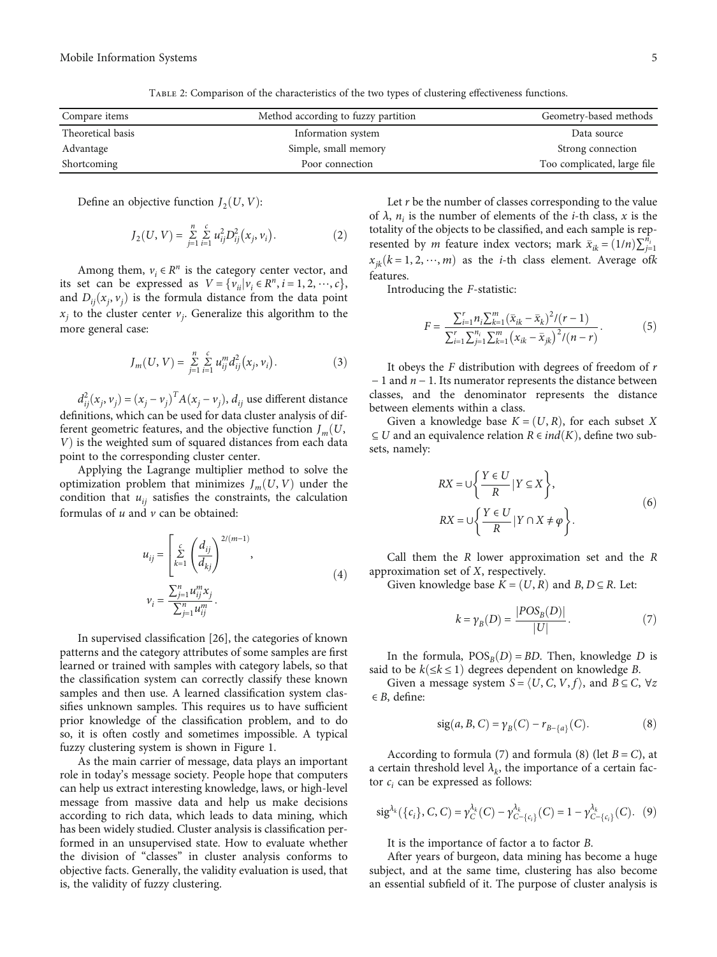<span id="page-4-0"></span>

| Compare items     | Method according to fuzzy partition | Geometry-based methods      |
|-------------------|-------------------------------------|-----------------------------|
| Theoretical basis | Information system                  | Data source                 |
| Advantage         | Simple, small memory                | Strong connection           |
| Shortcoming       | Poor connection                     | Too complicated, large file |

Table 2: Comparison of the characteristics of the two types of clustering effectiveness functions.

Define an objective function  $J_2(U, V)$ :

$$
J_2(U, V) = \sum_{j=1}^{n} \sum_{i=1}^{c} u_{ij}^2 D_{ij}^2(x_j, v_i).
$$
 (2)

Among them,  $v_i \in R^n$  is the category center vector, and its set can be expressed as  $V = \{v_{ii} | v_i \in R^n, i = 1, 2, \dots, c\},\$ and  $D_{ij}(x_j, v_j)$  is the formula distance from the data point  $x_i$  to the cluster center  $v_i$ . Generalize this algorithm to the more general case:

$$
J_m(U, V) = \sum_{j=1}^n \sum_{i=1}^c u_{ij}^m d_{ij}^2(x_j, v_i).
$$
 (3)

 $d_{ij}^2(x_j, v_j) = (x_j - v_j)^T A(x_j - v_j), d_{ij}$  use different distance definitions, which can be used for data cluster analysis of different geometric features, and the objective function  $J_m(U, \mathcal{L})$ *V*) is the weighted sum of squared distances from each data point to the corresponding cluster center.

Applying the Lagrange multiplier method to solve the optimization problem that minimizes  $J_m(U, V)$  under the condition that  $u_{ii}$  satisfies the constraints, the calculation formulas of *u* and *v* can be obtained:

$$
u_{ij} = \left[\sum_{k=1}^{c} \left(\frac{d_{ij}}{d_{kj}}\right)^{2/(m-1)},\right]
$$
  

$$
v_{i} = \frac{\sum_{j=1}^{n} u_{ij}^{m} x_{j}}{\sum_{j=1}^{n} u_{ij}^{m}}.
$$
 (4)

In supervised classification [[26\]](#page-9-0), the categories of known patterns and the category attributes of some samples are first learned or trained with samples with category labels, so that the classification system can correctly classify these known samples and then use. A learned classification system classifies unknown samples. This requires us to have sufficient prior knowledge of the classification problem, and to do so, it is often costly and sometimes impossible. A typical fuzzy clustering system is shown in Figure [1.](#page-5-0)

As the main carrier of message, data plays an important role in today's message society. People hope that computers can help us extract interesting knowledge, laws, or high-level message from massive data and help us make decisions according to rich data, which leads to data mining, which has been widely studied. Cluster analysis is classification performed in an unsupervised state. How to evaluate whether the division of "classes" in cluster analysis conforms to objective facts. Generally, the validity evaluation is used, that is, the validity of fuzzy clustering.

Let *r* be the number of classes corresponding to the value of  $\lambda$ ,  $n_i$  is the number of elements of the *i*-th class, *x* is the totality of the objects to be classified, and each sample is represented by *m* feature index vectors; mark  $\bar{x}_{ik} = (1/n)\sum_{j=1}^{n_i}$  $x_{jk}$ ( $k = 1, 2, \dots, m$ ) as the *i*-th class element. Average of *k* features.

Introducing the *F*-statistic:

$$
F = \frac{\sum_{i=1}^{r} n_i \sum_{k=1}^{m} (\bar{x}_{ik} - \bar{x}_k)^2 / (r - 1)}{\sum_{i=1}^{r} \sum_{j=1}^{n_i} \sum_{k=1}^{m} (x_{ik} - \bar{x}_{jk})^2 / (n - r)}.
$$
(5)

It obeys the *F* distribution with degrees of freedom of *r* <sup>−</sup> 1 and *<sup>n</sup>* <sup>−</sup> 1. Its numerator represents the distance between classes, and the denominator represents the distance between elements within a class.

Given a knowledge base  $K = (U, R)$ , for each subset *X* ⊆ *U* and an equivalence relation  $R \in ind(K)$ , define two subsets, namely:

$$
RX = \bigcup \left\{ \frac{Y \in U}{R} | Y \subseteq X \right\},\tag{6}
$$
  

$$
RX = \bigcup \left\{ \frac{Y \in U}{R} | Y \cap X \neq \varphi \right\}.
$$

Call them the *R* lower approximation set and the *R* approximation set of *X*, respectively.

Given knowledge base  $K = (U, R)$  and  $B, D \subseteq R$ . Let:

$$
k = \gamma_B(D) = \frac{|POS_B(D)|}{|U|}.
$$
 (7)

In the formula,  $POS<sub>B</sub>(D) = BD$ . Then, knowledge *D* is said to be  $k(≤k≤1)$  degrees dependent on knowledge *B*.

Given a message system  $S = \langle U, C, V, f \rangle$ , and  $B \subseteq C$ ,  $\forall z$ ∈ *B*, define:

$$
sig(a, B, C) = \gamma_B(C) - r_{B - \{a\}}(C). \tag{8}
$$

According to formula (7) and formula (8) (let  $B = C$ ), at a certain threshold level  $\lambda_k$ , the importance of a certain factor  $c_i$  can be expressed as follows:

$$
\mathrm{sig}^{\lambda_k}(\{c_i\}, C, C) = \gamma_C^{\lambda_k}(C) - \gamma_{C-\{c_i\}}^{\lambda_k}(C) = 1 - \gamma_{C-\{c_i\}}^{\lambda_k}(C). \tag{9}
$$

It is the importance of factor a to factor *B*.

After years of burgeon, data mining has become a huge subject, and at the same time, clustering has also become an essential subfield of it. The purpose of cluster analysis is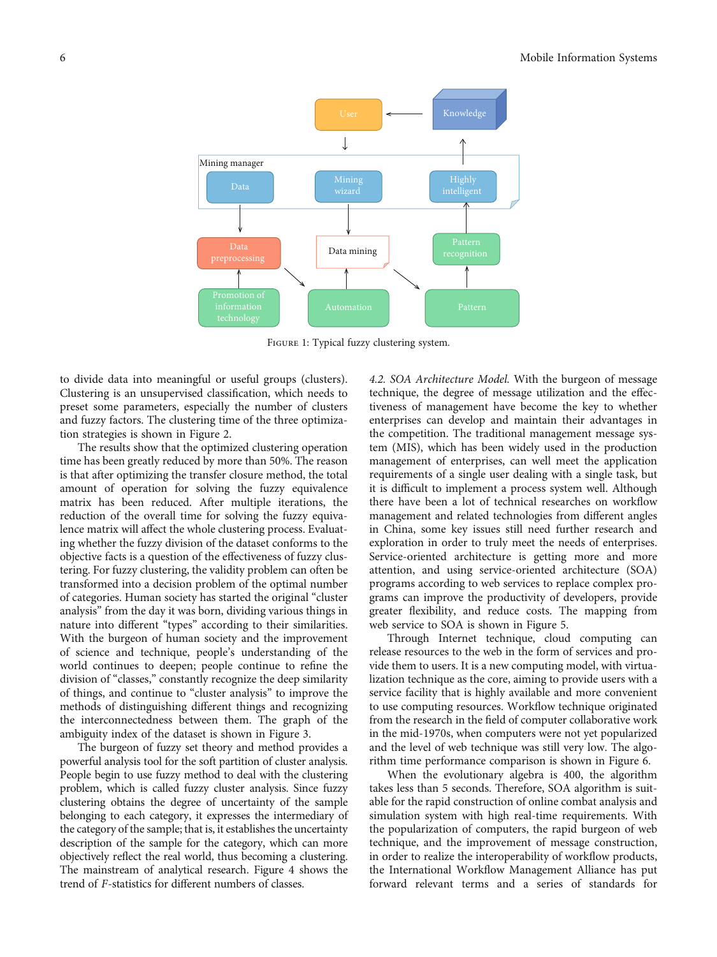<span id="page-5-0"></span>

FIGURE 1: Typical fuzzy clustering system.

to divide data into meaningful or useful groups (clusters). Clustering is an unsupervised classification, which needs to preset some parameters, especially the number of clusters and fuzzy factors. The clustering time of the three optimization strategies is shown in Figure [2.](#page-6-0)

The results show that the optimized clustering operation time has been greatly reduced by more than 50%. The reason is that after optimizing the transfer closure method, the total amount of operation for solving the fuzzy equivalence matrix has been reduced. After multiple iterations, the reduction of the overall time for solving the fuzzy equivalence matrix will affect the whole clustering process. Evaluating whether the fuzzy division of the dataset conforms to the objective facts is a question of the effectiveness of fuzzy clustering. For fuzzy clustering, the validity problem can often be transformed into a decision problem of the optimal number of categories. Human society has started the original "cluster analysis" from the day it was born, dividing various things in nature into different "types" according to their similarities. With the burgeon of human society and the improvement of science and technique, people's understanding of the world continues to deepen; people continue to refine the division of "classes," constantly recognize the deep similarity of things, and continue to "cluster analysis" to improve the methods of distinguishing different things and recognizing the interconnectedness between them. The graph of the ambiguity index of the dataset is shown in Figure [3](#page-6-0).

The burgeon of fuzzy set theory and method provides a powerful analysis tool for the soft partition of cluster analysis. People begin to use fuzzy method to deal with the clustering problem, which is called fuzzy cluster analysis. Since fuzzy clustering obtains the degree of uncertainty of the sample belonging to each category, it expresses the intermediary of the category of the sample; that is, it establishes the uncertainty description of the sample for the category, which can more objectively reflect the real world, thus becoming a clustering. The mainstream of analytical research. Figure [4](#page-7-0) shows the trend of *F*-statistics for different numbers of classes.

4.2. SOA Architecture Model. With the burgeon of message technique, the degree of message utilization and the effectiveness of management have become the key to whether enterprises can develop and maintain their advantages in the competition. The traditional management message system (MIS), which has been widely used in the production management of enterprises, can well meet the application requirements of a single user dealing with a single task, but it is difficult to implement a process system well. Although there have been a lot of technical researches on workflow management and related technologies from different angles in China, some key issues still need further research and exploration in order to truly meet the needs of enterprises. Service-oriented architecture is getting more and more attention, and using service-oriented architecture (SOA) programs according to web services to replace complex programs can improve the productivity of developers, provide greater flexibility, and reduce costs. The mapping from web service to SOA is shown in Figure [5.](#page-7-0)

Through Internet technique, cloud computing can release resources to the web in the form of services and provide them to users. It is a new computing model, with virtualization technique as the core, aiming to provide users with a service facility that is highly available and more convenient to use computing resources. Workflow technique originated from the research in the field of computer collaborative work in the mid-1970s, when computers were not yet popularized and the level of web technique was still very low. The algorithm time performance comparison is shown in Figure [6](#page-7-0).

When the evolutionary algebra is 400, the algorithm takes less than 5 seconds. Therefore, SOA algorithm is suitable for the rapid construction of online combat analysis and simulation system with high real-time requirements. With the popularization of computers, the rapid burgeon of web technique, and the improvement of message construction, in order to realize the interoperability of workflow products, the International Workflow Management Alliance has put forward relevant terms and a series of standards for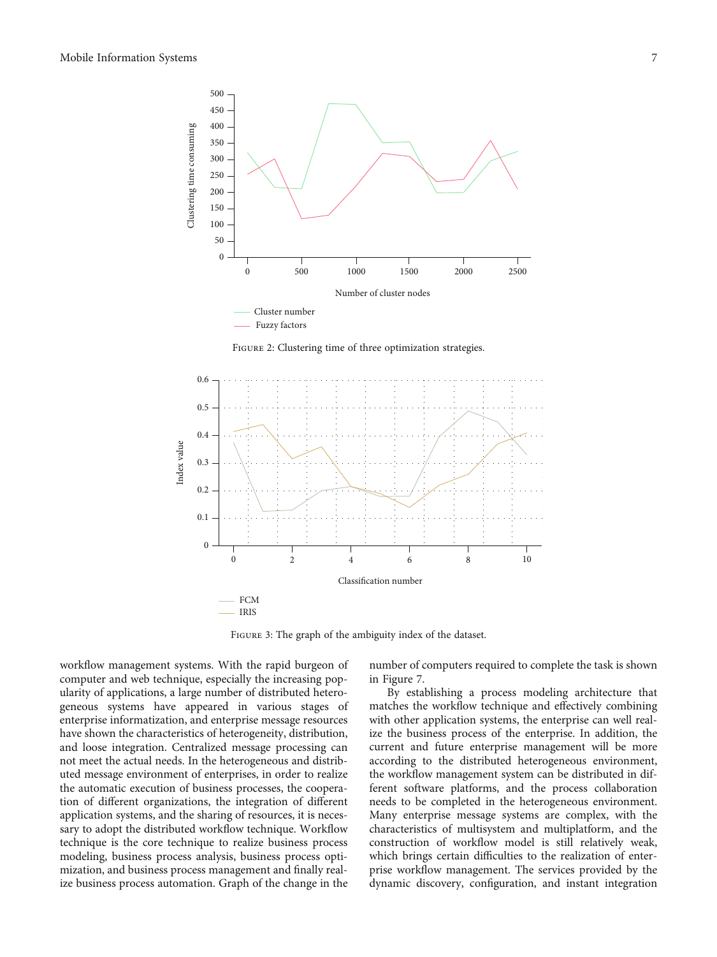<span id="page-6-0"></span>

FIGURE 2: Clustering time of three optimization strategies.



Figure 3: The graph of the ambiguity index of the dataset.

workflow management systems. With the rapid burgeon of computer and web technique, especially the increasing popularity of applications, a large number of distributed heterogeneous systems have appeared in various stages of enterprise informatization, and enterprise message resources have shown the characteristics of heterogeneity, distribution, and loose integration. Centralized message processing can not meet the actual needs. In the heterogeneous and distributed message environment of enterprises, in order to realize the automatic execution of business processes, the cooperation of different organizations, the integration of different application systems, and the sharing of resources, it is necessary to adopt the distributed workflow technique. Workflow technique is the core technique to realize business process modeling, business process analysis, business process optimization, and business process management and finally realize business process automation. Graph of the change in the

number of computers required to complete the task is shown in Figure [7](#page-8-0).

By establishing a process modeling architecture that matches the workflow technique and effectively combining with other application systems, the enterprise can well realize the business process of the enterprise. In addition, the current and future enterprise management will be more according to the distributed heterogeneous environment, the workflow management system can be distributed in different software platforms, and the process collaboration needs to be completed in the heterogeneous environment. Many enterprise message systems are complex, with the characteristics of multisystem and multiplatform, and the construction of workflow model is still relatively weak, which brings certain difficulties to the realization of enterprise workflow management. The services provided by the dynamic discovery, configuration, and instant integration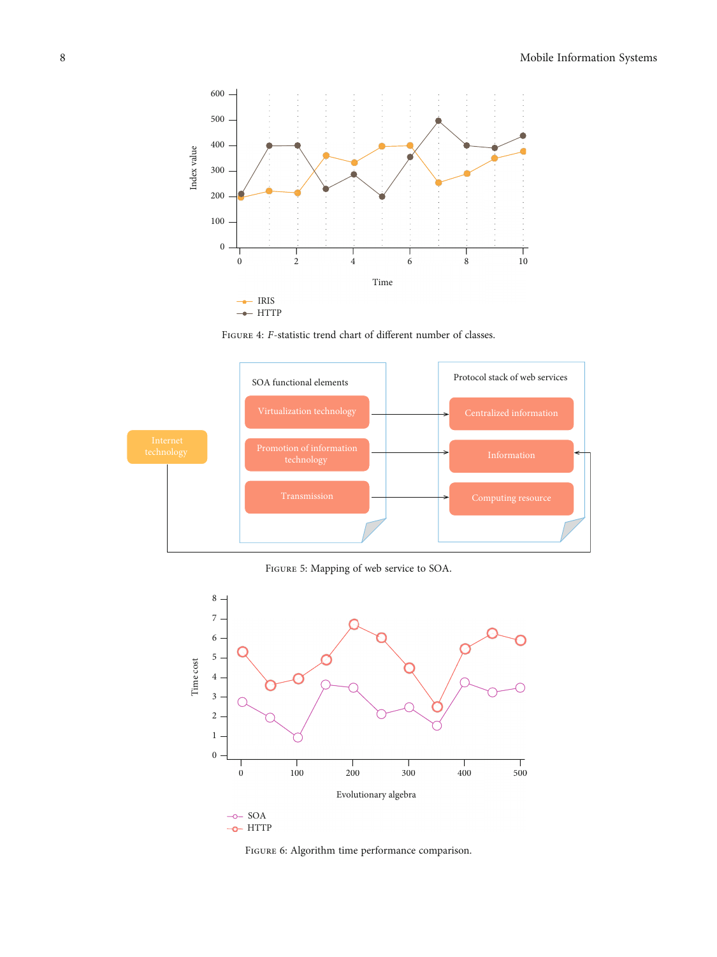<span id="page-7-0"></span>

FIGURE 4: *F*-statistic trend chart of different number of classes.



Figure 5: Mapping of web service to SOA.



-o-HTTP

FIGURE 6: Algorithm time performance comparison.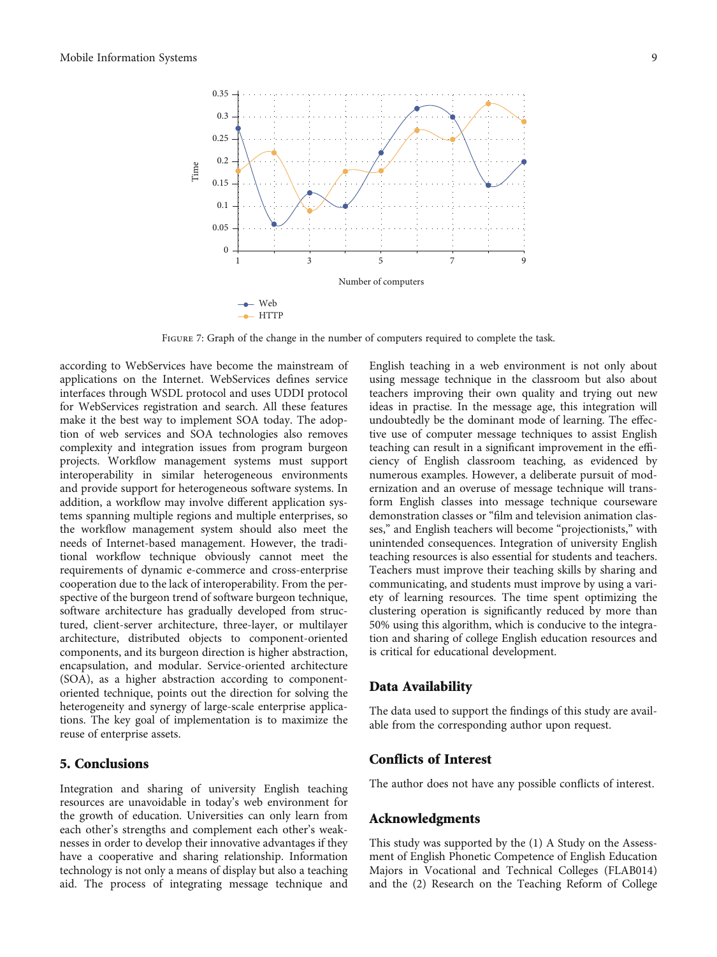<span id="page-8-0"></span>

Figure 7: Graph of the change in the number of computers required to complete the task.

according to WebServices have become the mainstream of applications on the Internet. WebServices defines service interfaces through WSDL protocol and uses UDDI protocol for WebServices registration and search. All these features make it the best way to implement SOA today. The adoption of web services and SOA technologies also removes complexity and integration issues from program burgeon projects. Workflow management systems must support interoperability in similar heterogeneous environments and provide support for heterogeneous software systems. In addition, a workflow may involve different application systems spanning multiple regions and multiple enterprises, so the workflow management system should also meet the needs of Internet-based management. However, the traditional workflow technique obviously cannot meet the requirements of dynamic e-commerce and cross-enterprise cooperation due to the lack of interoperability. From the perspective of the burgeon trend of software burgeon technique, software architecture has gradually developed from structured, client-server architecture, three-layer, or multilayer architecture, distributed objects to component-oriented components, and its burgeon direction is higher abstraction, encapsulation, and modular. Service-oriented architecture (SOA), as a higher abstraction according to componentoriented technique, points out the direction for solving the heterogeneity and synergy of large-scale enterprise applications. The key goal of implementation is to maximize the reuse of enterprise assets.

## 5. Conclusions

Integration and sharing of university English teaching resources are unavoidable in today's web environment for the growth of education. Universities can only learn from each other's strengths and complement each other's weaknesses in order to develop their innovative advantages if they have a cooperative and sharing relationship. Information technology is not only a means of display but also a teaching aid. The process of integrating message technique and

English teaching in a web environment is not only about using message technique in the classroom but also about teachers improving their own quality and trying out new ideas in practise. In the message age, this integration will undoubtedly be the dominant mode of learning. The effective use of computer message techniques to assist English teaching can result in a significant improvement in the efficiency of English classroom teaching, as evidenced by numerous examples. However, a deliberate pursuit of modernization and an overuse of message technique will transform English classes into message technique courseware demonstration classes or "film and television animation classes," and English teachers will become "projectionists," with unintended consequences. Integration of university English teaching resources is also essential for students and teachers. Teachers must improve their teaching skills by sharing and communicating, and students must improve by using a variety of learning resources. The time spent optimizing the clustering operation is significantly reduced by more than 50% using this algorithm, which is conducive to the integration and sharing of college English education resources and is critical for educational development.

#### Data Availability

The data used to support the findings of this study are available from the corresponding author upon request.

#### Conflicts of Interest

The author does not have any possible conflicts of interest.

#### Acknowledgments

This study was supported by the (1) A Study on the Assessment of English Phonetic Competence of English Education Majors in Vocational and Technical Colleges (FLAB014) and the (2) Research on the Teaching Reform of College